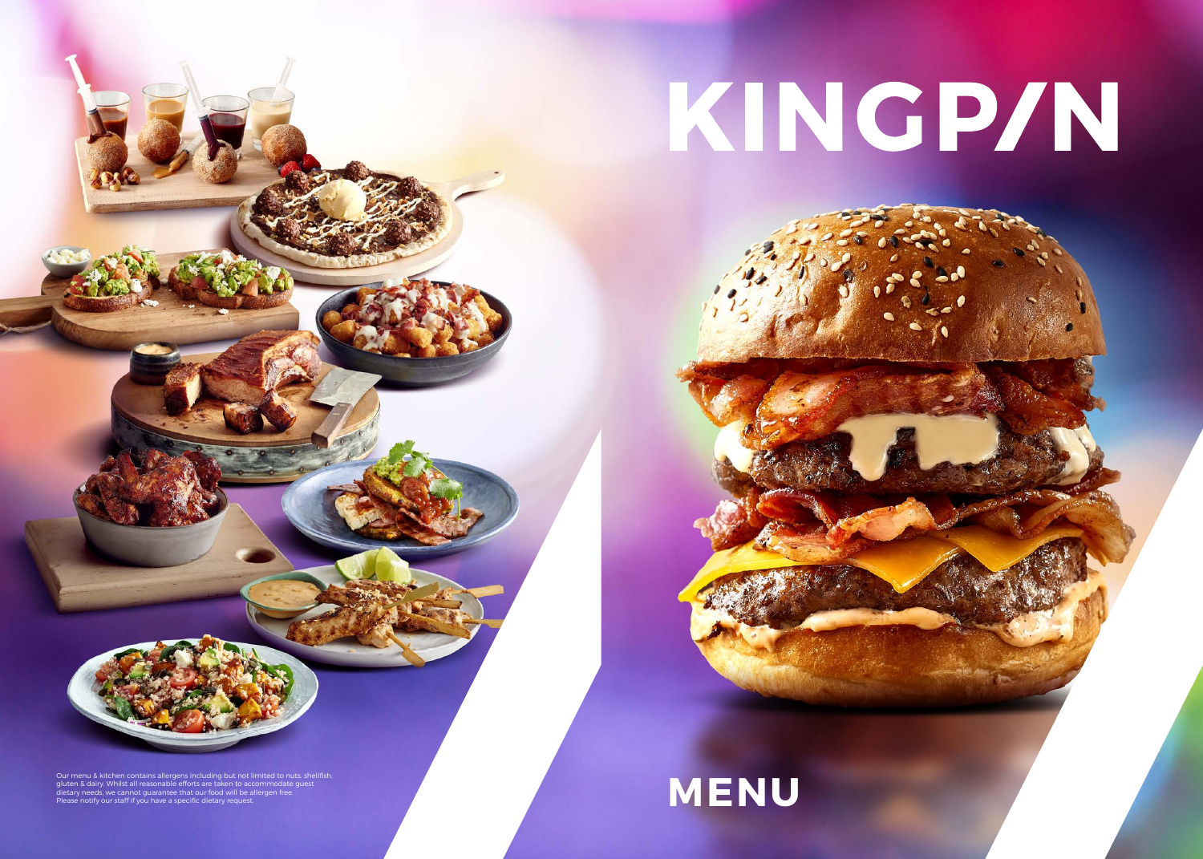Our menu & kitchen contains allergens including but not limited to nuts, shellfish, gluten & dairy. Whilst all reasonable efforts are taken to accommodate guest dietary needs, we cannot guarantee that our food will be allergen free. Durine & Alter Proteins of the State of the State of the State of the Commeditor Contains and the State of the State of the State of the State of the State of the State of the State of the State of the State of the State o